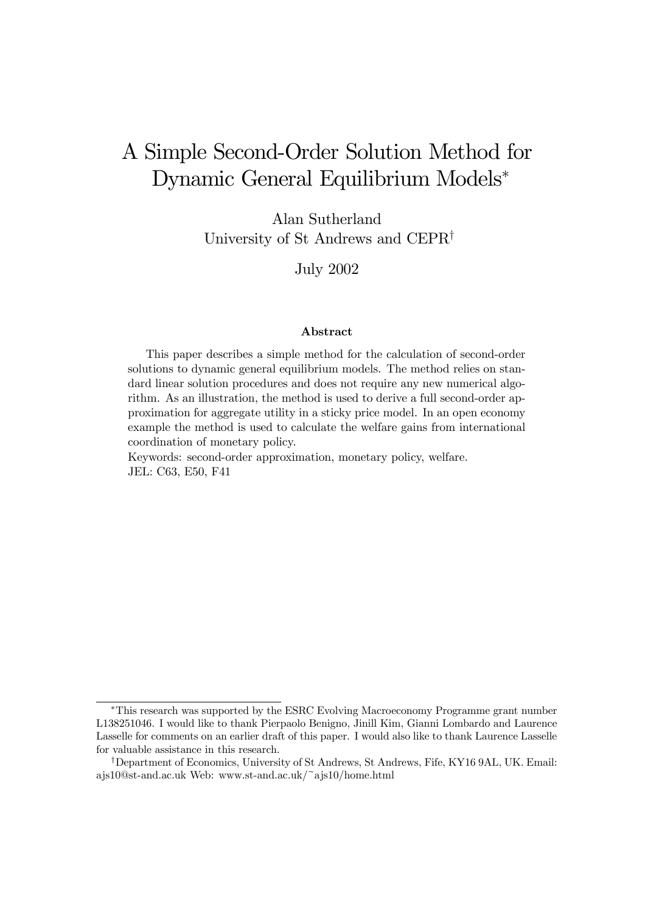# A Simple Second-Order Solution Method for Dynamic General Equilibrium Models<sup>\*</sup>

Alan Sutherland University of St Andrews and CEPR<sup> $\dagger$ </sup>

July 2002

#### Abstract

This paper describes a simple method for the calculation of second-order solutions to dynamic general equilibrium models. The method relies on standard linear solution procedures and does not require any new numerical algorithm. As an illustration, the method is used to derive a full second-order approximation for aggregate utility in a sticky price model. In an open economy example the method is used to calculate the welfare gains from international coordination of monetary policy.

Keywords: second-order approximation, monetary policy, welfare. JEL: C63, E50, F41

<sup>¤</sup>This research was supported by the ESRC Evolving Macroeconomy Programme grant number L138251046. I would like to thank Pierpaolo Benigno, Jinill Kim, Gianni Lombardo and Laurence Lasselle for comments on an earlier draft of this paper. I would also like to thank Laurence Lasselle for valuable assistance in this research.

<sup>&</sup>lt;sup>†</sup>Department of Economics, University of St Andrews, St Andrews, Fife, KY16 9AL, UK. Email: ajs10@st-and.ac.uk Web: www.st-and.ac.uk/~ajs10/home.html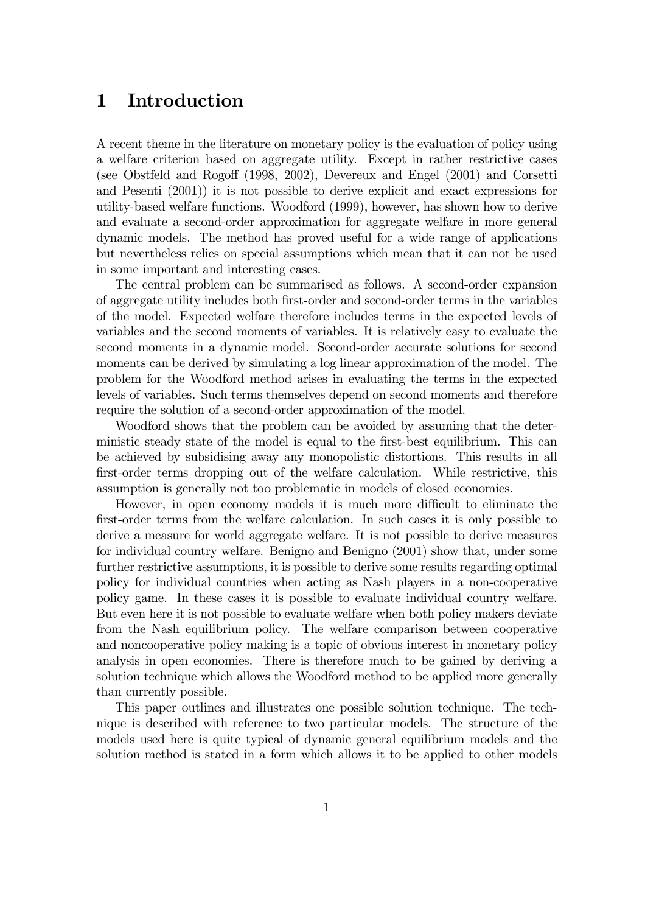## 1 Introduction

A recent theme in the literature on monetary policy is the evaluation of policy using a welfare criterion based on aggregate utility. Except in rather restrictive cases (see Obstfeld and Rogoff (1998, 2002), Devereux and Engel (2001) and Corsetti and Pesenti (2001)) it is not possible to derive explicit and exact expressions for utility-based welfare functions. Woodford (1999), however, has shown how to derive and evaluate a second-order approximation for aggregate welfare in more general dynamic models. The method has proved useful for a wide range of applications but nevertheless relies on special assumptions which mean that it can not be used in some important and interesting cases.

The central problem can be summarised as follows. A second-order expansion of aggregate utility includes both first-order and second-order terms in the variables of the model. Expected welfare therefore includes terms in the expected levels of variables and the second moments of variables. It is relatively easy to evaluate the second moments in a dynamic model. Second-order accurate solutions for second moments can be derived by simulating a log linear approximation of the model. The problem for the Woodford method arises in evaluating the terms in the expected levels of variables. Such terms themselves depend on second moments and therefore require the solution of a second-order approximation of the model.

Woodford shows that the problem can be avoided by assuming that the deterministic steady state of the model is equal to the first-best equilibrium. This can be achieved by subsidising away any monopolistic distortions. This results in all first-order terms dropping out of the welfare calculation. While restrictive, this assumption is generally not too problematic in models of closed economies.

However, in open economy models it is much more difficult to eliminate the first-order terms from the welfare calculation. In such cases it is only possible to derive a measure for world aggregate welfare. It is not possible to derive measures for individual country welfare. Benigno and Benigno (2001) show that, under some further restrictive assumptions, it is possible to derive some results regarding optimal policy for individual countries when acting as Nash players in a non-cooperative policy game. In these cases it is possible to evaluate individual country welfare. But even here it is not possible to evaluate welfare when both policy makers deviate from the Nash equilibrium policy. The welfare comparison between cooperative and noncooperative policy making is a topic of obvious interest in monetary policy analysis in open economies. There is therefore much to be gained by deriving a solution technique which allows the Woodford method to be applied more generally than currently possible.

This paper outlines and illustrates one possible solution technique. The technique is described with reference to two particular models. The structure of the models used here is quite typical of dynamic general equilibrium models and the solution method is stated in a form which allows it to be applied to other models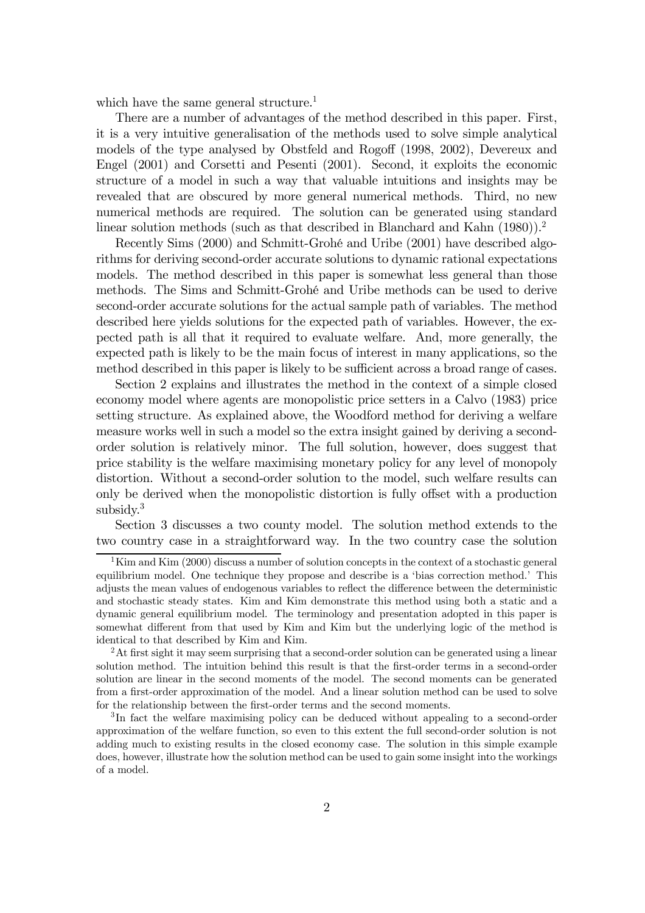which have the same general structure.<sup>1</sup>

There are a number of advantages of the method described in this paper. First, it is a very intuitive generalisation of the methods used to solve simple analytical models of the type analysed by Obstfeld and Rogoff (1998, 2002), Devereux and Engel (2001) and Corsetti and Pesenti (2001). Second, it exploits the economic structure of a model in such a way that valuable intuitions and insights may be revealed that are obscured by more general numerical methods. Third, no new numerical methods are required. The solution can be generated using standard linear solution methods (such as that described in Blanchard and Kahn (1980)).<sup>2</sup>

Recently Sims (2000) and Schmitt-Grohé and Uribe (2001) have described algorithms for deriving second-order accurate solutions to dynamic rational expectations models. The method described in this paper is somewhat less general than those methods. The Sims and Schmitt-Grohé and Uribe methods can be used to derive second-order accurate solutions for the actual sample path of variables. The method described here yields solutions for the expected path of variables. However, the expected path is all that it required to evaluate welfare. And, more generally, the expected path is likely to be the main focus of interest in many applications, so the method described in this paper is likely to be sufficient across a broad range of cases.

Section 2 explains and illustrates the method in the context of a simple closed economy model where agents are monopolistic price setters in a Calvo (1983) price setting structure. As explained above, the Woodford method for deriving a welfare measure works well in such a model so the extra insight gained by deriving a secondorder solution is relatively minor. The full solution, however, does suggest that price stability is the welfare maximising monetary policy for any level of monopoly distortion. Without a second-order solution to the model, such welfare results can only be derived when the monopolistic distortion is fully offset with a production subsidy.<sup>3</sup>

Section 3 discusses a two county model. The solution method extends to the two country case in a straightforward way. In the two country case the solution

 $1$ Kim and Kim (2000) discuss a number of solution concepts in the context of a stochastic general equilibrium model. One technique they propose and describe is a 'bias correction method.' This adjusts the mean values of endogenous variables to reflect the difference between the deterministic and stochastic steady states. Kim and Kim demonstrate this method using both a static and a dynamic general equilibrium model. The terminology and presentation adopted in this paper is somewhat different from that used by Kim and Kim but the underlying logic of the method is identical to that described by Kim and Kim.

 ${}^{2}$ At first sight it may seem surprising that a second-order solution can be generated using a linear solution method. The intuition behind this result is that the first-order terms in a second-order solution are linear in the second moments of the model. The second moments can be generated from a first-order approximation of the model. And a linear solution method can be used to solve for the relationship between the first-order terms and the second moments.

<sup>3</sup> In fact the welfare maximising policy can be deduced without appealing to a second-order approximation of the welfare function, so even to this extent the full second-order solution is not adding much to existing results in the closed economy case. The solution in this simple example does, however, illustrate how the solution method can be used to gain some insight into the workings of a model.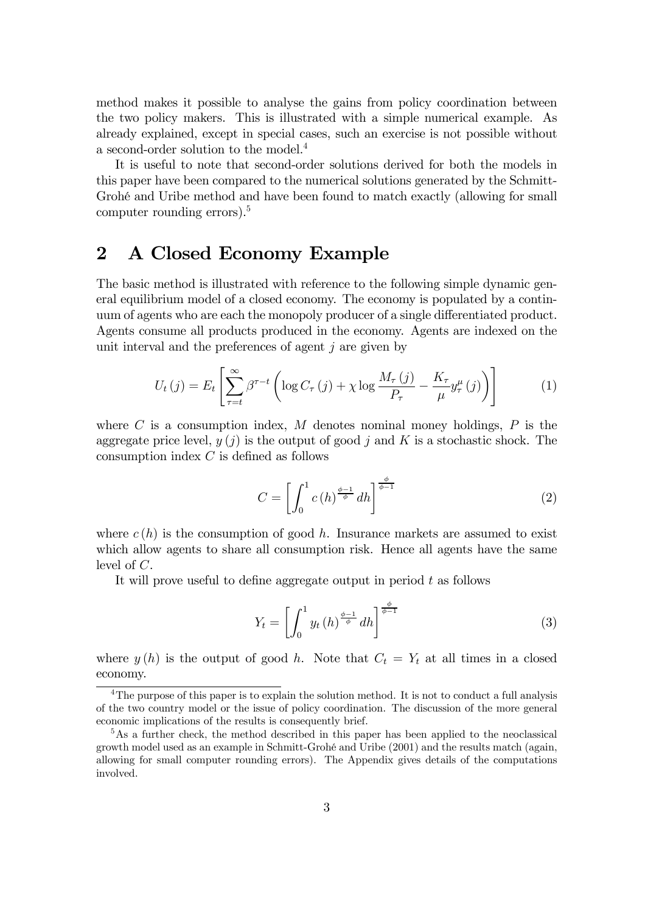method makes it possible to analyse the gains from policy coordination between the two policy makers. This is illustrated with a simple numerical example. As already explained, except in special cases, such an exercise is not possible without a second-order solution to the model.4

It is useful to note that second-order solutions derived for both the models in this paper have been compared to the numerical solutions generated by the Schmitt-Grohé and Uribe method and have been found to match exactly (allowing for small computer rounding errors).5

#### 2 A Closed Economy Example

The basic method is illustrated with reference to the following simple dynamic general equilibrium model of a closed economy. The economy is populated by a continuum of agents who are each the monopoly producer of a single differentiated product. Agents consume all products produced in the economy. Agents are indexed on the unit interval and the preferences of agent  $j$  are given by

$$
U_t(j) = E_t \left[ \sum_{\tau=t}^{\infty} \beta^{\tau-t} \left( \log C_{\tau}(j) + \chi \log \frac{M_{\tau}(j)}{P_{\tau}} - \frac{K_{\tau}}{\mu} y_{\tau}^{\mu}(j) \right) \right]
$$
(1)

where  $C$  is a consumption index,  $M$  denotes nominal money holdings,  $P$  is the aggregate price level,  $y(j)$  is the output of good j and K is a stochastic shock. The consumption index  $C$  is defined as follows

$$
C = \left[ \int_0^1 c(h)^{\frac{\phi-1}{\phi}} dh \right]^{\frac{\phi}{\phi-1}}
$$
 (2)

where  $c(h)$  is the consumption of good h. Insurance markets are assumed to exist which allow agents to share all consumption risk. Hence all agents have the same level of C.

It will prove useful to define aggregate output in period  $t$  as follows

$$
Y_t = \left[ \int_0^1 y_t(h)^{\frac{\phi-1}{\phi}} dh \right]^{\frac{\phi}{\phi-1}}
$$
 (3)

where  $y(h)$  is the output of good h. Note that  $C_t = Y_t$  at all times in a closed economy.

<sup>&</sup>lt;sup>4</sup>The purpose of this paper is to explain the solution method. It is not to conduct a full analysis of the two country model or the issue of policy coordination. The discussion of the more general economic implications of the results is consequently brief.

<sup>&</sup>lt;sup>5</sup>As a further check, the method described in this paper has been applied to the neoclassical growth model used as an example in Schmitt-Grohé and Uribe (2001) and the results match (again, allowing for small computer rounding errors). The Appendix gives details of the computations involved.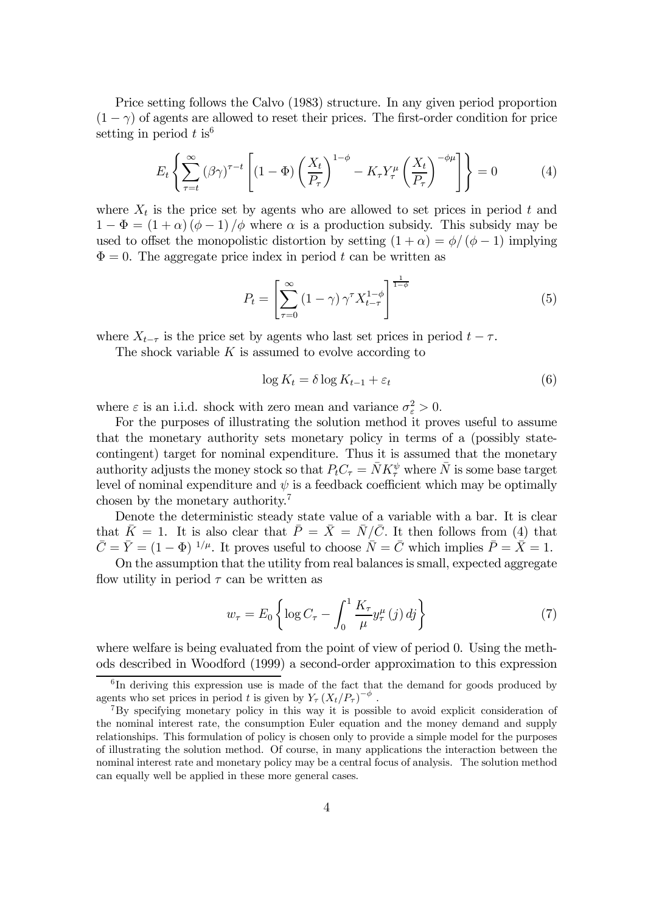Price setting follows the Calvo (1983) structure. In any given period proportion  $(1 - \gamma)$  of agents are allowed to reset their prices. The first-order condition for price setting in period  $t$  is  $6$ 

$$
E_t \left\{ \sum_{\tau=t}^{\infty} (\beta \gamma)^{\tau-t} \left[ (1 - \Phi) \left( \frac{X_t}{P_{\tau}} \right)^{1 - \phi} - K_{\tau} Y_{\tau}^{\mu} \left( \frac{X_t}{P_{\tau}} \right)^{-\phi \mu} \right] \right\} = 0 \tag{4}
$$

where  $X_t$  is the price set by agents who are allowed to set prices in period t and  $1 - \Phi = (1 + \alpha)(\phi - 1)/\phi$  where  $\alpha$  is a production subsidy. This subsidy may be used to offset the monopolistic distortion by setting  $(1 + \alpha) = \phi/(\phi - 1)$  implying  $\Phi=0$ . The aggregate price index in period t can be written as

$$
P_t = \left[\sum_{\tau=0}^{\infty} \left(1-\gamma\right) \gamma^{\tau} X_{t-\tau}^{1-\phi}\right]^{\frac{1}{1-\phi}}
$$
\n
$$
\tag{5}
$$

where  $X_{t-\tau}$  is the price set by agents who last set prices in period  $t - \tau$ .

The shock variable  $K$  is assumed to evolve according to

$$
\log K_t = \delta \log K_{t-1} + \varepsilon_t \tag{6}
$$

where  $\varepsilon$  is an i.i.d. shock with zero mean and variance  $\sigma_{\varepsilon}^2 > 0$ .

For the purposes of illustrating the solution method it proves useful to assume that the monetary authority sets monetary policy in terms of a (possibly statecontingent) target for nominal expenditure. Thus it is assumed that the monetary authority adjusts the money stock so that  $P_t C_\tau = \bar{N} K_\tau^\psi$  where  $\bar{N}$  is some base target level of nominal expenditure and  $\psi$  is a feedback coefficient which may be optimally chosen by the monetary authority.<sup>7</sup>

Denote the deterministic steady state value of a variable with a bar. It is clear that  $\bar{K} = 1$ . It is also clear that  $\bar{P} = \bar{X} = \bar{N}/\bar{C}$ . It then follows from (4) that  $\overline{C} = \overline{Y} = (1 - \Phi)^{-1/\mu}$ . It proves useful to choose  $\overline{N} = \overline{C}$  which implies  $\overline{P} = \overline{X} = 1$ .

On the assumption that the utility from real balances is small, expected aggregate flow utility in period  $\tau$  can be written as

$$
w_{\tau} = E_0 \left\{ \log C_{\tau} - \int_0^1 \frac{K_{\tau}}{\mu} y_{\tau}^{\mu} (j) \, dj \right\} \tag{7}
$$

where welfare is being evaluated from the point of view of period 0. Using the methods described in Woodford (1999) a second-order approximation to this expression

<sup>&</sup>lt;sup>6</sup>In deriving this expression use is made of the fact that the demand for goods produced by agents who set prices in period t is given by  $Y_\tau (X_t/P_\tau)^{-\phi}$ .

<sup>7</sup>By specifying monetary policy in this way it is possible to avoid explicit consideration of the nominal interest rate, the consumption Euler equation and the money demand and supply relationships. This formulation of policy is chosen only to provide a simple model for the purposes of illustrating the solution method. Of course, in many applications the interaction between the nominal interest rate and monetary policy may be a central focus of analysis. The solution method can equally well be applied in these more general cases.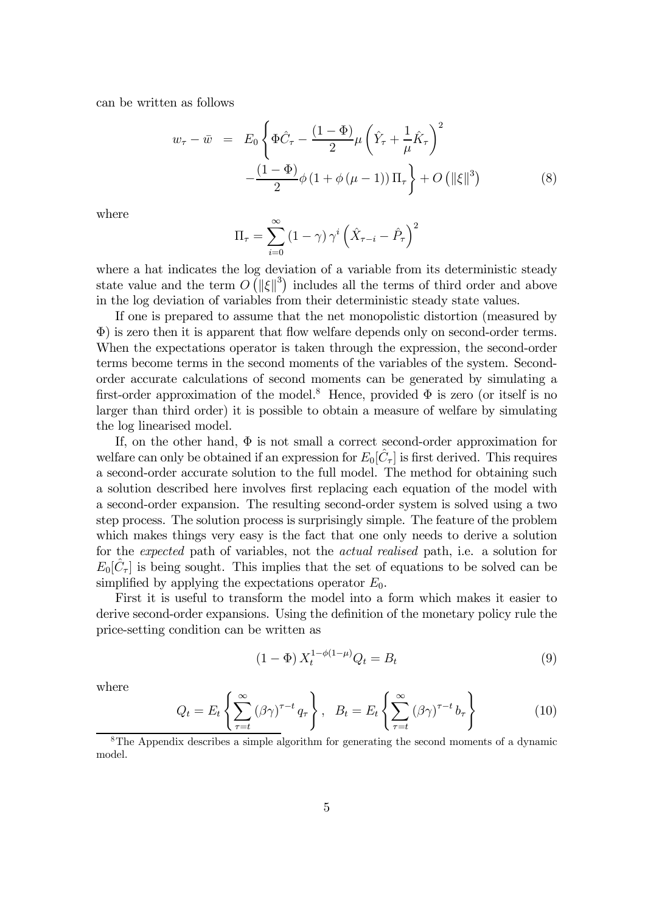can be written as follows

$$
w_{\tau} - \bar{w} = E_0 \left\{ \Phi \hat{C}_{\tau} - \frac{(1 - \Phi)}{2} \mu \left( \hat{Y}_{\tau} + \frac{1}{\mu} \hat{K}_{\tau} \right)^2 - \frac{(1 - \Phi)}{2} \phi \left( 1 + \phi \left( \mu - 1 \right) \right) \Pi_{\tau} \right\} + O \left( \| \xi \|^3 \right) \tag{8}
$$

where

$$
\Pi_{\tau} = \sum_{i=0}^{\infty} (1 - \gamma) \gamma^{i} \left( \hat{X}_{\tau - i} - \hat{P}_{\tau} \right)^{2}
$$

where a hat indicates the log deviation of a variable from its deterministic steady state value and the term  $O(|\xi|^3)$  includes all the terms of third order and above in the log deviation of variables from their deterministic steady state values.

If one is prepared to assume that the net monopolistic distortion (measured by  $\Phi$ ) is zero then it is apparent that flow welfare depends only on second-order terms. When the expectations operator is taken through the expression, the second-order terms become terms in the second moments of the variables of the system. Secondorder accurate calculations of second moments can be generated by simulating a first-order approximation of the model.<sup>8</sup> Hence, provided  $\Phi$  is zero (or itself is no larger than third order) it is possible to obtain a measure of welfare by simulating the log linearised model.

If, on the other hand,  $\Phi$  is not small a correct second-order approximation for welfare can only be obtained if an expression for  $E_0[\hat{C}_\tau]$  is first derived. This requires a second-order accurate solution to the full model. The method for obtaining such a solution described here involves first replacing each equation of the model with a second-order expansion. The resulting second-order system is solved using a two step process. The solution process is surprisingly simple. The feature of the problem which makes things very easy is the fact that one only needs to derive a solution for the expected path of variables, not the actual realised path, i.e. a solution for  $E_0[\tilde{C}_\tau]$  is being sought. This implies that the set of equations to be solved can be simplified by applying the expectations operator  $E_0$ .

First it is useful to transform the model into a form which makes it easier to derive second-order expansions. Using the definition of the monetary policy rule the price-setting condition can be written as

$$
(1 - \Phi) X_t^{1 - \phi(1 - \mu)} Q_t = B_t \tag{9}
$$

where

$$
Q_t = E_t \left\{ \sum_{\tau=t}^{\infty} (\beta \gamma)^{\tau-t} q_\tau \right\}, \quad B_t = E_t \left\{ \sum_{\tau=t}^{\infty} (\beta \gamma)^{\tau-t} b_\tau \right\}
$$
(10)

<sup>8</sup>The Appendix describes a simple algorithm for generating the second moments of a dynamic model.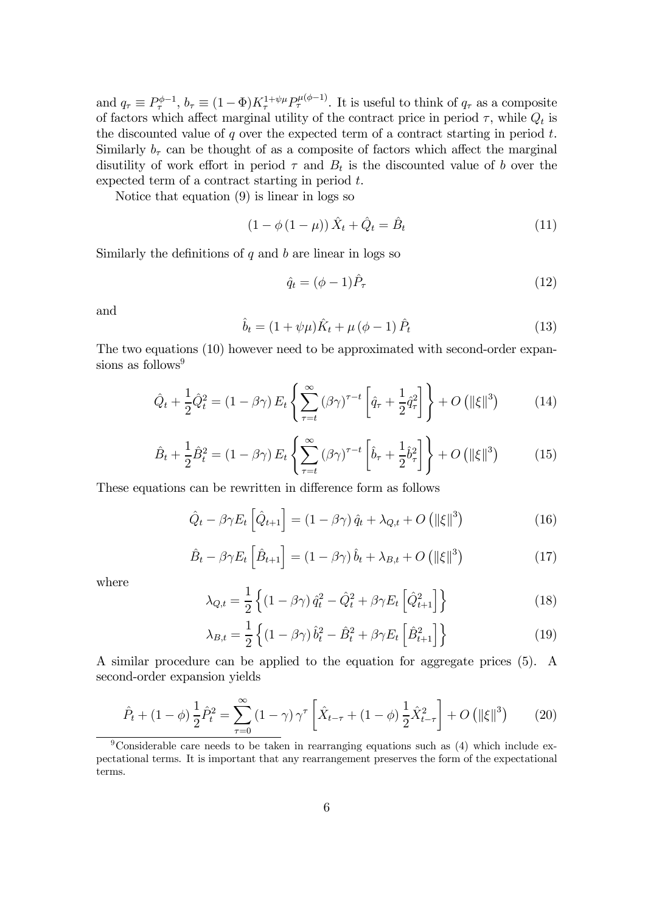and  $q_{\tau} \equiv P_{\tau}^{\phi-1}$ ,  $b_{\tau} \equiv (1 - \Phi) K_{\tau}^{1 + \psi \mu} P_{\tau}^{\mu(\phi-1)}$ . It is useful to think of  $q_{\tau}$  as a composite of factors which affect marginal utility of the contract price in period  $\tau$ , while  $Q_t$  is the discounted value of  $q$  over the expected term of a contract starting in period  $t$ . Similarly  $b<sub>\tau</sub>$  can be thought of as a composite of factors which affect the marginal disutility of work effort in period  $\tau$  and  $B_t$  is the discounted value of b over the expected term of a contract starting in period t.

Notice that equation (9) is linear in logs so

$$
(1 - \phi(1 - \mu)) \hat{X}_t + \hat{Q}_t = \hat{B}_t \tag{11}
$$

Similarly the definitions of  $q$  and  $b$  are linear in logs so

$$
\hat{q}_t = (\phi - 1)\hat{P}_\tau \tag{12}
$$

and  

$$
\hat{b}_t = (1 + \psi \mu) \hat{K}_t + \mu (\phi - 1) \hat{P}_t
$$
(13)

The two equations (10) however need to be approximated with second-order expansions as follows $9$ 

$$
\hat{Q}_t + \frac{1}{2}\hat{Q}_t^2 = (1 - \beta\gamma) E_t \left\{ \sum_{\tau=t}^{\infty} (\beta\gamma)^{\tau-t} \left[ \hat{q}_\tau + \frac{1}{2}\hat{q}_\tau^2 \right] \right\} + O\left(\|\xi\|^3\right) \tag{14}
$$

$$
\hat{B}_t + \frac{1}{2}\hat{B}_t^2 = (1 - \beta\gamma) E_t \left\{ \sum_{\tau=t}^{\infty} (\beta\gamma)^{\tau-t} \left[ \hat{b}_\tau + \frac{1}{2} \hat{b}_\tau^2 \right] \right\} + O\left( \|\xi\|^3 \right) \tag{15}
$$

These equations can be rewritten in difference form as follows

$$
\hat{Q}_t - \beta \gamma E_t \left[ \hat{Q}_{t+1} \right] = (1 - \beta \gamma) \hat{q}_t + \lambda_{Q,t} + O\left( \|\xi\|^3 \right) \tag{16}
$$

$$
\hat{B}_t - \beta \gamma E_t \left[ \hat{B}_{t+1} \right] = (1 - \beta \gamma) \hat{b}_t + \lambda_{B,t} + O\left( \|\xi\|^3 \right) \tag{17}
$$

where

$$
\lambda_{Q,t} = \frac{1}{2} \left\{ \left( 1 - \beta \gamma \right) \hat{q}_t^2 - \hat{Q}_t^2 + \beta \gamma E_t \left[ \hat{Q}_{t+1}^2 \right] \right\} \tag{18}
$$

$$
\lambda_{B,t} = \frac{1}{2} \left\{ \left( 1 - \beta \gamma \right) \hat{b}_t^2 - \hat{B}_t^2 + \beta \gamma E_t \left[ \hat{B}_{t+1}^2 \right] \right\} \tag{19}
$$

A similar procedure can be applied to the equation for aggregate prices (5). A second-order expansion yields

$$
\hat{P}_t + (1 - \phi) \frac{1}{2} \hat{P}_t^2 = \sum_{\tau=0}^{\infty} (1 - \gamma) \gamma^{\tau} \left[ \hat{X}_{t-\tau} + (1 - \phi) \frac{1}{2} \hat{X}_{t-\tau}^2 \right] + O\left( \| \xi \|^3 \right) \tag{20}
$$

<sup>&</sup>lt;sup>9</sup>Considerable care needs to be taken in rearranging equations such as  $(4)$  which include expectational terms. It is important that any rearrangement preserves the form of the expectational terms.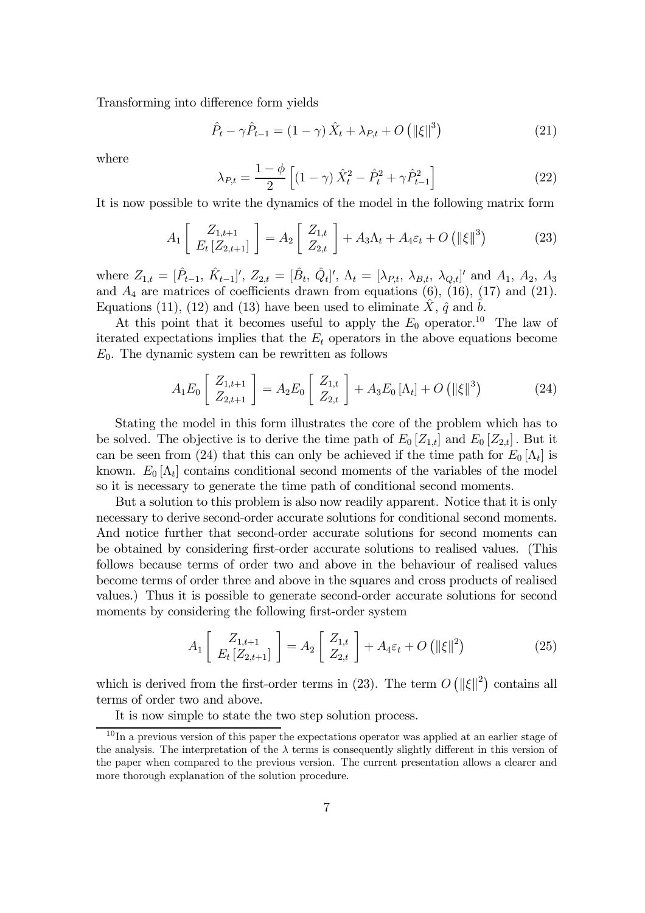Transforming into difference form yields

$$
\hat{P}_t - \gamma \hat{P}_{t-1} = (1 - \gamma) \hat{X}_t + \lambda_{P,t} + O\left(\|\xi\|^3\right)
$$
\n(21)

where

$$
\lambda_{P,t} = \frac{1 - \phi}{2} \left[ (1 - \gamma) \hat{X}_t^2 - \hat{P}_t^2 + \gamma \hat{P}_{t-1}^2 \right] \tag{22}
$$

It is now possible to write the dynamics of the model in the following matrix form

$$
A_1\left[\begin{array}{c} Z_{1,t+1} \\ E_t\left[Z_{2,t+1}\right] \end{array}\right] = A_2\left[\begin{array}{c} Z_{1,t} \\ Z_{2,t} \end{array}\right] + A_3\Lambda_t + A_4\varepsilon_t + O\left(\left\|\xi\right\|^3\right) \tag{23}
$$

where  $Z_{1,t} = [\hat{P}_{t-1}, \hat{K}_{t-1}]'$ ,  $Z_{2,t} = [\hat{B}_t, \hat{Q}_t]'$ ,  $\Lambda_t = [\lambda_{P,t}, \lambda_{B,t}, \lambda_{Q,t}]'$  and  $A_1, A_2, A_3$ and  $A_4$  are matrices of coefficients drawn from equations (6), (16), (17) and (21). Equations (11), (12) and (13) have been used to eliminate  $\hat{X}$ ,  $\hat{q}$  and  $\hat{b}$ .

At this point that it becomes useful to apply the  $E_0$  operator.<sup>10</sup> The law of iterated expectations implies that the  $E_t$  operators in the above equations become  $E_0$ . The dynamic system can be rewritten as follows

$$
A_1 E_0 \left[ \begin{array}{c} Z_{1,t+1} \\ Z_{2,t+1} \end{array} \right] = A_2 E_0 \left[ \begin{array}{c} Z_{1,t} \\ Z_{2,t} \end{array} \right] + A_3 E_0 \left[ \Lambda_t \right] + O \left( \left\| \xi \right\|^3 \right) \tag{24}
$$

Stating the model in this form illustrates the core of the problem which has to be solved. The objective is to derive the time path of  $E_0[Z_{1,t}]$  and  $E_0[Z_{2,t}]$ . But it can be seen from (24) that this can only be achieved if the time path for  $E_0 |\Lambda_t|$  is known.  $E_0[\Lambda_t]$  contains conditional second moments of the variables of the model so it is necessary to generate the time path of conditional second moments.

But a solution to this problem is also now readily apparent. Notice that it is only necessary to derive second-order accurate solutions for conditional second moments. And notice further that second-order accurate solutions for second moments can be obtained by considering first-order accurate solutions to realised values. (This follows because terms of order two and above in the behaviour of realised values become terms of order three and above in the squares and cross products of realised values.) Thus it is possible to generate second-order accurate solutions for second moments by considering the following first-order system

$$
A_1 \left[ \begin{array}{c} Z_{1,t+1} \\ E_t \left[ Z_{2,t+1} \right] \end{array} \right] = A_2 \left[ \begin{array}{c} Z_{1,t} \\ Z_{2,t} \end{array} \right] + A_4 \varepsilon_t + O\left( \| \xi \|^2 \right) \tag{25}
$$

which is derived from the first-order terms in (23). The term  $O(|\xi||^2)$  contains all terms of order two and above.

It is now simple to state the two step solution process.

 $10$  In a previous version of this paper the expectations operator was applied at an earlier stage of the analysis. The interpretation of the  $\lambda$  terms is consequently slightly different in this version of the paper when compared to the previous version. The current presentation allows a clearer and more thorough explanation of the solution procedure.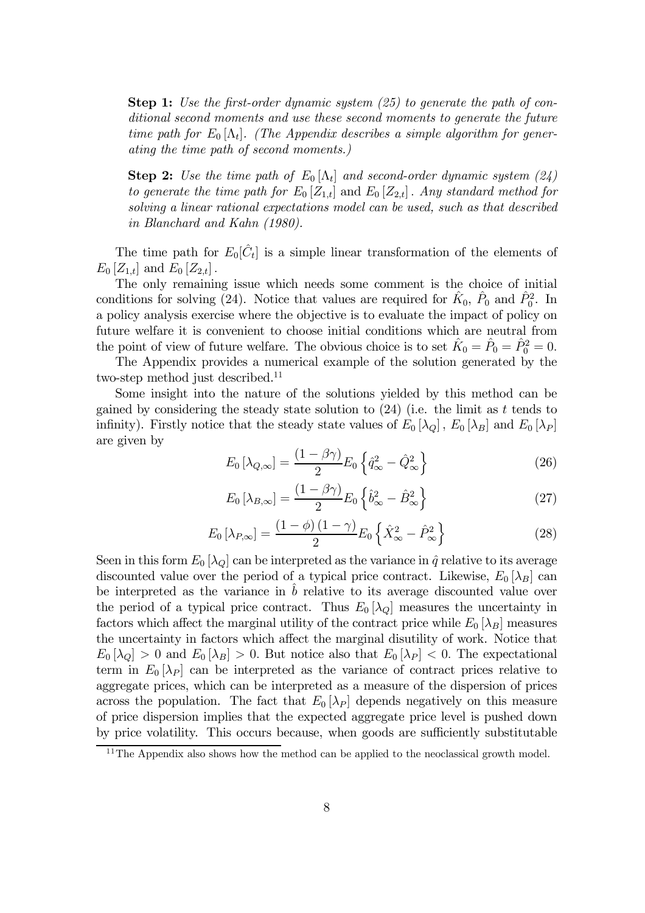**Step 1:** Use the first-order dynamic system  $(25)$  to generate the path of conditional second moments and use these second moments to generate the future time path for  $E_0[\Lambda_t]$ . (The Appendix describes a simple algorithm for generating the time path of second moments.)

**Step 2:** Use the time path of  $E_0[\Lambda_t]$  and second-order dynamic system (24) to generate the time path for  $E_0[Z_{1,t}]$  and  $E_0[Z_{2,t}]$ . Any standard method for solving a linear rational expectations model can be used, such as that described in Blanchard and Kahn (1980).

The time path for  $E_0[\hat{C}_t]$  is a simple linear transformation of the elements of  $E_0[Z_{1,t}]$  and  $E_0[Z_{2,t}]$ .

The only remaining issue which needs some comment is the choice of initial conditions for solving (24). Notice that values are required for  $\hat{K}_0$ ,  $\hat{P}_0$  and  $\hat{P}_0^2$ . In a policy analysis exercise where the objective is to evaluate the impact of policy on future welfare it is convenient to choose initial conditions which are neutral from the point of view of future welfare. The obvious choice is to set  $\hat{K}_0 = \hat{P}_0 = \hat{P}_0^2 = 0$ .

The Appendix provides a numerical example of the solution generated by the two-step method just described.<sup>11</sup>

Some insight into the nature of the solutions yielded by this method can be gained by considering the steady state solution to  $(24)$  (i.e. the limit as t tends to infinity). Firstly notice that the steady state values of  $E_0 [\lambda_Q]$ ,  $E_0 [\lambda_B]$  and  $E_0 [\lambda_P]$ are given by

$$
E_0\left[\lambda_{Q,\infty}\right] = \frac{\left(1 - \beta\gamma\right)}{2} E_0 \left\{\hat{q}_{\infty}^2 - \hat{Q}_{\infty}^2\right\} \tag{26}
$$

$$
E_0\left[\lambda_{B,\infty}\right] = \frac{\left(1 - \beta\gamma\right)}{2} E_0 \left\{\hat{b}_{\infty}^2 - \hat{B}_{\infty}^2\right\} \tag{27}
$$

$$
E_0\left[\lambda_{P,\infty}\right] = \frac{\left(1-\phi\right)\left(1-\gamma\right)}{2}E_0\left\{\hat{X}_{\infty}^2 - \hat{P}_{\infty}^2\right\} \tag{28}
$$

Seen in this form  $E_0[\lambda_Q]$  can be interpreted as the variance in  $\hat{q}$  relative to its average discounted value over the period of a typical price contract. Likewise,  $E_0[\lambda_B]$  can be interpreted as the variance in  $\hat{b}$  relative to its average discounted value over the period of a typical price contract. Thus  $E_0[\lambda_Q]$  measures the uncertainty in factors which affect the marginal utility of the contract price while  $E_0[\lambda_B]$  measures the uncertainty in factors which affect the marginal disutility of work. Notice that  $E_0[\lambda_Q] > 0$  and  $E_0[\lambda_B] > 0$ . But notice also that  $E_0[\lambda_P] < 0$ . The expectational term in  $E_0[\lambda_P]$  can be interpreted as the variance of contract prices relative to aggregate prices, which can be interpreted as a measure of the dispersion of prices across the population. The fact that  $E_0 |\lambda_P|$  depends negatively on this measure of price dispersion implies that the expected aggregate price level is pushed down by price volatility. This occurs because, when goods are sufficiently substitutable

 $11$ The Appendix also shows how the method can be applied to the neoclassical growth model.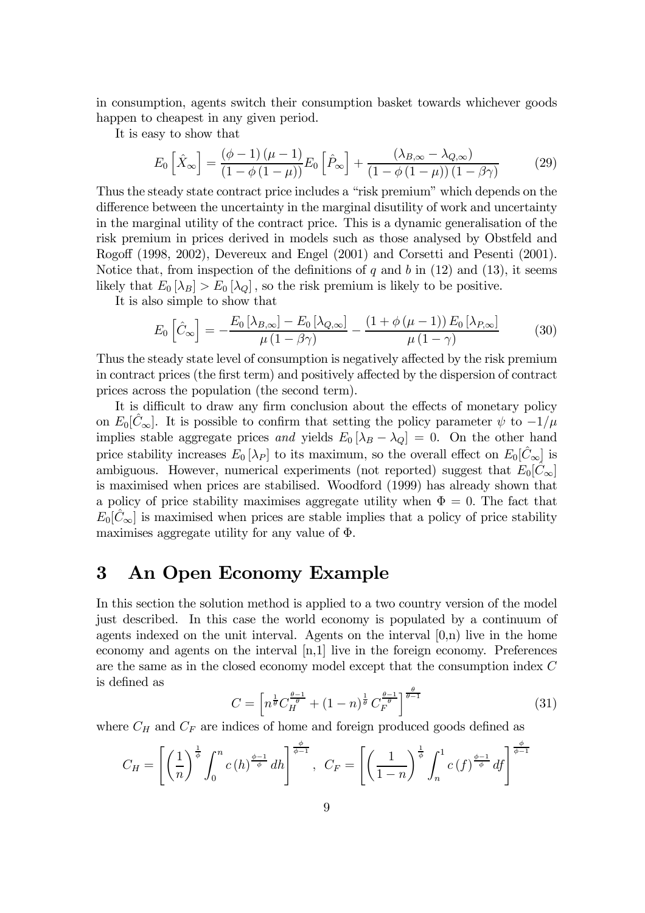in consumption, agents switch their consumption basket towards whichever goods happen to cheapest in any given period.

It is easy to show that

$$
E_0\left[\hat{X}_{\infty}\right] = \frac{(\phi - 1)\left(\mu - 1\right)}{\left(1 - \phi\left(1 - \mu\right)\right)} E_0\left[\hat{P}_{\infty}\right] + \frac{\left(\lambda_{B,\infty} - \lambda_{Q,\infty}\right)}{\left(1 - \phi\left(1 - \mu\right)\right)\left(1 - \beta\gamma\right)}\tag{29}
$$

Thus the steady state contract price includes a "risk premium" which depends on the difference between the uncertainty in the marginal disutility of work and uncertainty in the marginal utility of the contract price. This is a dynamic generalisation of the risk premium in prices derived in models such as those analysed by Obstfeld and Rogoff (1998, 2002), Devereux and Engel (2001) and Corsetti and Pesenti (2001). Notice that, from inspection of the definitions of q and b in  $(12)$  and  $(13)$ , it seems likely that  $E_0[\lambda_B] > E_0[\lambda_Q]$ , so the risk premium is likely to be positive.

It is also simple to show that

$$
E_0\left[\hat{C}_{\infty}\right] = -\frac{E_0\left[\lambda_{B,\infty}\right] - E_0\left[\lambda_{Q,\infty}\right]}{\mu\left(1 - \beta\gamma\right)} - \frac{\left(1 + \phi\left(\mu - 1\right)\right)E_0\left[\lambda_{P,\infty}\right]}{\mu\left(1 - \gamma\right)}\tag{30}
$$

Thus the steady state level of consumption is negatively affected by the risk premium in contract prices (the first term) and positively affected by the dispersion of contract prices across the population (the second term).

It is difficult to draw any firm conclusion about the effects of monetary policy on  $E_0[\tilde{C}_{\infty}]$ . It is possible to confirm that setting the policy parameter  $\psi$  to  $-1/\mu$ implies stable aggregate prices and yields  $E_0 [\lambda_B - \lambda_Q] = 0$ . On the other hand price stability increases  $E_0[\lambda_P]$  to its maximum, so the overall effect on  $E_0[\tilde{C}_{\infty}]$  is ambiguous. However, numerical experiments (not reported) suggest that  $E_0[\hat{C}_{\infty}]$ is maximised when prices are stabilised. Woodford (1999) has already shown that a policy of price stability maximises aggregate utility when  $\Phi=0$ . The fact that  $E_0[\hat{C}_{\infty}]$  is maximised when prices are stable implies that a policy of price stability maximises aggregate utility for any value of  $\Phi$ .

### 3 An Open Economy Example

In this section the solution method is applied to a two country version of the model just described. In this case the world economy is populated by a continuum of agents indexed on the unit interval. Agents on the interval  $[0,n)$  live in the home economy and agents on the interval [n,1] live in the foreign economy. Preferences are the same as in the closed economy model except that the consumption index C is defined as

$$
C = \left[ n^{\frac{1}{\theta}} C_H^{\frac{\theta - 1}{\theta}} + (1 - n)^{\frac{1}{\theta}} C_F^{\frac{\theta - 1}{\theta}} \right]^{\frac{\theta}{\theta - 1}}
$$
(31)

where  $C_H$  and  $C_F$  are indices of home and foreign produced goods defined as

$$
C_H = \left[ \left( \frac{1}{n} \right)^{\frac{1}{\phi}} \int_0^n c(h)^{\frac{\phi-1}{\phi}} dh \right]^{\frac{\phi}{\phi-1}}, \ \ C_F = \left[ \left( \frac{1}{1-n} \right)^{\frac{1}{\phi}} \int_n^1 c(f)^{\frac{\phi-1}{\phi}} df \right]^{\frac{\phi}{\phi-1}}
$$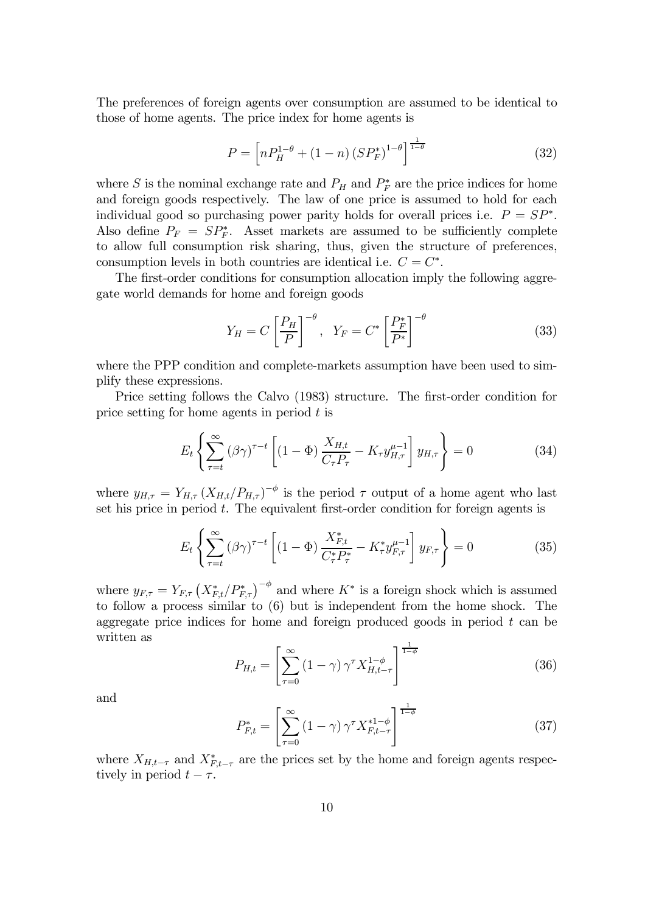The preferences of foreign agents over consumption are assumed to be identical to those of home agents. The price index for home agents is

$$
P = \left[ nP_H^{1-\theta} + (1-n) \left( SP_F^* \right)^{1-\theta} \right]^{\frac{1}{1-\theta}}
$$
(32)

where S is the nominal exchange rate and  $P_H$  and  $P_F^*$  are the price indices for home and foreign goods respectively. The law of one price is assumed to hold for each individual good so purchasing power parity holds for overall prices i.e.  $P = SP^*$ . Also define  $P_F = SP_F^*$ . Asset markets are assumed to be sufficiently complete to allow full consumption risk sharing, thus, given the structure of preferences, consumption levels in both countries are identical i.e.  $C = C^*$ .

The first-order conditions for consumption allocation imply the following aggregate world demands for home and foreign goods

$$
Y_H = C \left[ \frac{P_H}{P} \right]^{-\theta}, \quad Y_F = C^* \left[ \frac{P_F^*}{P^*} \right]^{-\theta} \tag{33}
$$

where the PPP condition and complete-markets assumption have been used to simplify these expressions.

Price setting follows the Calvo (1983) structure. The first-order condition for price setting for home agents in period  $t$  is

$$
E_t \left\{ \sum_{\tau=t}^{\infty} (\beta \gamma)^{\tau-t} \left[ (1 - \Phi) \frac{X_{H,t}}{C_{\tau} P_{\tau}} - K_{\tau} y_{H,\tau}^{\mu-1} \right] y_{H,\tau} \right\} = 0 \tag{34}
$$

where  $y_{H,\tau} = Y_{H,\tau} (X_{H,t}/P_{H,\tau})^{-\phi}$  is the period  $\tau$  output of a home agent who last set his price in period  $t$ . The equivalent first-order condition for foreign agents is

$$
E_t \left\{ \sum_{\tau=t}^{\infty} (\beta \gamma)^{\tau-t} \left[ (1 - \Phi) \frac{X_{F,t}^*}{C_{\tau}^* P_{\tau}^*} - K_{\tau}^* y_{F,\tau}^{\mu-1} \right] y_{F,\tau} \right\} = 0 \tag{35}
$$

where  $y_{F,\tau} = Y_{F,\tau} (X_{F,t}^*/P_{F,\tau}^*)^{-\phi}$  and where  $K^*$  is a foreign shock which is assumed to follow a process similar to (6) but is independent from the home shock. The aggregate price indices for home and foreign produced goods in period  $t$  can be written as

$$
P_{H,t} = \left[\sum_{\tau=0}^{\infty} \left(1-\gamma\right) \gamma^{\tau} X_{H,t-\tau}^{1-\phi}\right]^{\frac{1}{1-\phi}}
$$
(36)

and

$$
P_{F,t}^{*} = \left[\sum_{\tau=0}^{\infty} (1-\gamma) \,\gamma^{\tau} X_{F,t-\tau}^{*1-\phi}\right]^{\frac{1}{1-\phi}}
$$
(37)

where  $X_{H,t-\tau}$  and  $X_{F,t-\tau}^*$  are the prices set by the home and foreign agents respectively in period  $t - \tau$ .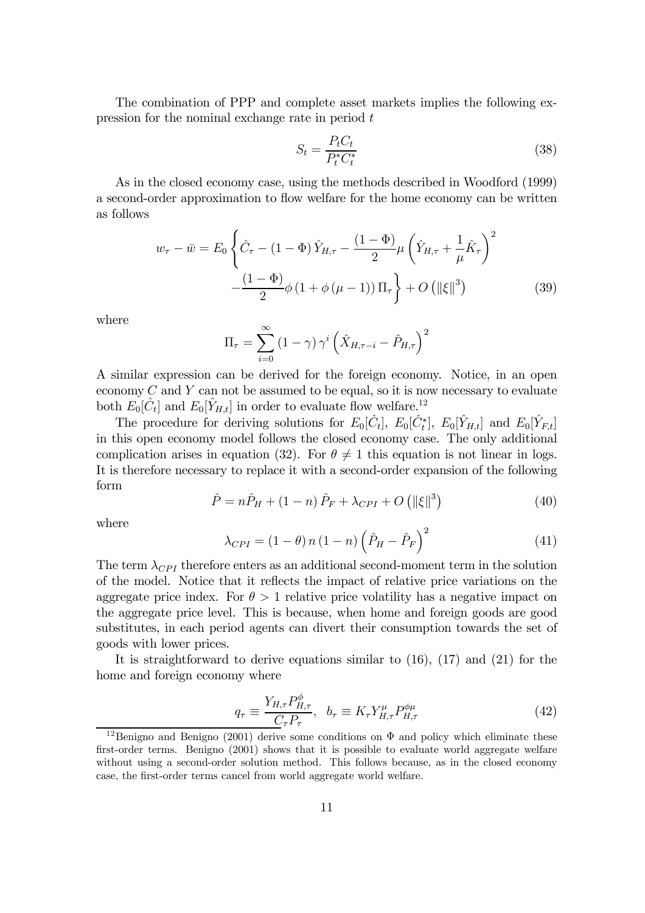The combination of PPP and complete asset markets implies the following expression for the nominal exchange rate in period t

$$
S_t = \frac{P_t C_t}{P_t^* C_t^*}
$$
\n
$$
(38)
$$

As in the closed economy case, using the methods described in Woodford (1999) a second-order approximation to flow welfare for the home economy can be written as follows

$$
w_{\tau} - \bar{w} = E_0 \left\{ \hat{C}_{\tau} - (1 - \Phi) \hat{Y}_{H,\tau} - \frac{(1 - \Phi)}{2} \mu \left( \hat{Y}_{H,\tau} + \frac{1}{\mu} \hat{K}_{\tau} \right)^2 - \frac{(1 - \Phi)}{2} \phi \left( 1 + \phi \left( \mu - 1 \right) \right) \Pi_{\tau} \right\} + O \left( \|\xi\|^3 \right) \tag{39}
$$

where

$$
\Pi_{\tau} = \sum_{i=0}^{\infty} (1 - \gamma) \gamma^{i} \left( \hat{X}_{H, \tau - i} - \hat{P}_{H, \tau} \right)^{2}
$$

A similar expression can be derived for the foreign economy. Notice, in an open economy  $C$  and  $Y$  can not be assumed to be equal, so it is now necessary to evaluate both  $E_0[\tilde{C}_t]$  and  $E_0[\tilde{Y}_{H,t}]$  in order to evaluate flow welfare.<sup>12</sup>

The procedure for deriving solutions for  $E_0[\hat{C}_t]$ ,  $E_0[\hat{C}_t^*]$ ,  $E_0[\hat{Y}_{H,t}]$  and  $E_0[\hat{Y}_{F,t}]$ in this open economy model follows the closed economy case. The only additional complication arises in equation (32). For  $\theta \neq 1$  this equation is not linear in logs. It is therefore necessary to replace it with a second-order expansion of the following form

$$
\hat{P} = n\hat{P}_H + (1 - n)\hat{P}_F + \lambda_{CPI} + O\left(\|\xi\|^3\right)
$$
\n(40)

where

$$
\lambda_{CPI} = (1 - \theta) n (1 - n) \left( \hat{P}_H - \hat{P}_F \right)^2 \tag{41}
$$

The term  $\lambda_{CPI}$  therefore enters as an additional second-moment term in the solution of the model. Notice that it re‡ects the impact of relative price variations on the aggregate price index. For  $\theta > 1$  relative price volatility has a negative impact on the aggregate price level. This is because, when home and foreign goods are good substitutes, in each period agents can divert their consumption towards the set of goods with lower prices.

It is straightforward to derive equations similar to (16), (17) and (21) for the home and foreign economy where

$$
q_{\tau} \equiv \frac{Y_{H,\tau} P_{H,\tau}^{\phi}}{C_{\tau} P_{\tau}}, \quad b_{\tau} \equiv K_{\tau} Y_{H,\tau}^{\mu} P_{H,\tau}^{\phi\mu} \tag{42}
$$

<sup>&</sup>lt;sup>12</sup>Benigno and Benigno (2001) derive some conditions on  $\Phi$  and policy which eliminate these first-order terms. Benigno  $(2001)$  shows that it is possible to evaluate world aggregate welfare without using a second-order solution method. This follows because, as in the closed economy case, the first-order terms cancel from world aggregate world welfare.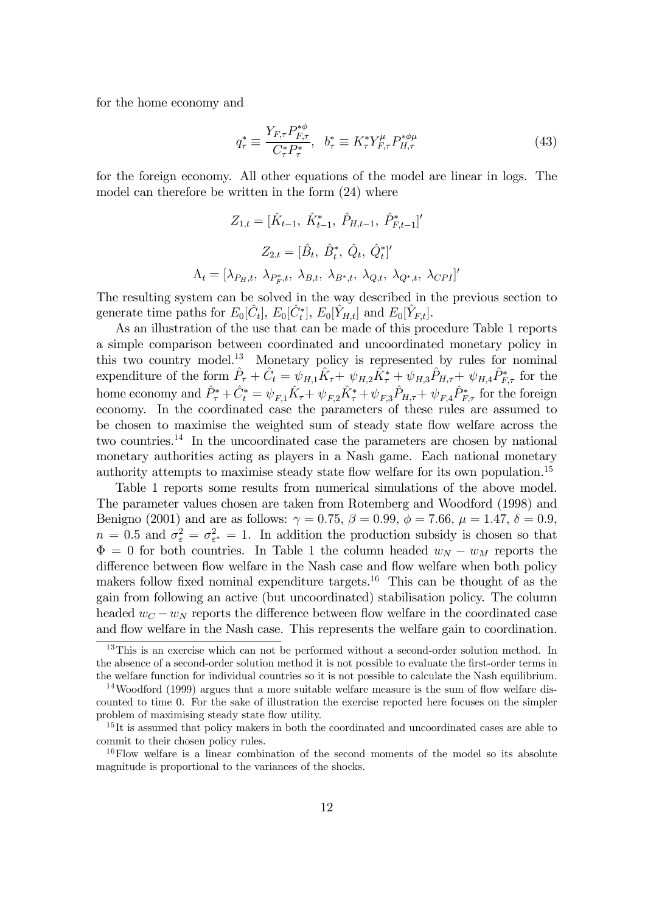for the home economy and

$$
q_{\tau}^{*} \equiv \frac{Y_{F,\tau} P_{F,\tau}^{*\phi}}{C_{\tau}^{*} P_{\tau}^{*}}, \quad b_{\tau}^{*} \equiv K_{\tau}^{*} Y_{F,\tau}^{\mu} P_{H,\tau}^{*\phi\mu} \tag{43}
$$

for the foreign economy. All other equations of the model are linear in logs. The model can therefore be written in the form (24) where

$$
Z_{1,t} = [\hat{K}_{t-1}, \ \hat{K}_{t-1}^*, \ \hat{P}_{H,t-1}, \ \hat{P}_{F,t-1}^*]'
$$

$$
Z_{2,t} = [\hat{B}_t, \ \hat{B}_t^*, \ \hat{Q}_t, \ \hat{Q}_t^*]'
$$

$$
\Lambda_t = [\lambda_{P_H,t}, \ \lambda_{P_F^*,t}, \ \lambda_{B,t}, \ \lambda_{B^*,t}, \ \lambda_{Q,t}, \ \lambda_{Q^*,t}, \ \lambda_{CPI}]'
$$

The resulting system can be solved in the way described in the previous section to generate time paths for  $E_0[\hat{C}_t]$ ,  $E_0[\hat{C}_t^*]$ ,  $E_0[\hat{Y}_{H,t}]$  and  $E_0[\hat{Y}_{F,t}]$ .

As an illustration of the use that can be made of this procedure Table 1 reports a simple comparison between coordinated and uncoordinated monetary policy in this two country model.<sup>13</sup> Monetary policy is represented by rules for nominal expenditure of the form  $\hat{P}_{\tau} + \hat{C}_t = \psi_{H,1}\hat{K}_{\tau} + \psi_{H,2}\tilde{K}_{\tau}^* + \psi_{H,3}\hat{P}_{H,\tau} + \psi_{H,4}\hat{P}_{F,\tau}^*$  for the home economy and  $\hat{P}^*_{\tau} + \hat{C}^*_{t} = \psi_{F,1}\hat{K}_{\tau} + \psi_{F,2}\hat{K}^*_{\tau} + \psi_{F,3}\hat{P}_{H,\tau} + \psi_{F,4}\hat{P}^*_{F,\tau}$  for the foreign economy. In the coordinated case the parameters of these rules are assumed to be chosen to maximise the weighted sum of steady state ‡ow welfare across the two countries.<sup>14</sup> In the uncoordinated case the parameters are chosen by national monetary authorities acting as players in a Nash game. Each national monetary authority attempts to maximise steady state flow welfare for its own population.<sup>15</sup>

Table 1 reports some results from numerical simulations of the above model. The parameter values chosen are taken from Rotemberg and Woodford (1998) and Benigno (2001) and are as follows:  $\gamma = 0.75$ ,  $\beta = 0.99$ ,  $\phi = 7.66$ ,  $\mu = 1.47$ ,  $\delta = 0.9$ ,  $n = 0.5$  and  $\sigma_{\varepsilon}^2 = \sigma_{\varepsilon^*}^2 = 1$ . In addition the production subsidy is chosen so that  $\Phi=0$  for both countries. In Table 1 the column headed  $w_N - w_M$  reports the difference between flow welfare in the Nash case and flow welfare when both policy makers follow fixed nominal expenditure targets.<sup>16</sup> This can be thought of as the gain from following an active (but uncoordinated) stabilisation policy. The column headed  $w_C - w_N$  reports the difference between flow welfare in the coordinated case and flow welfare in the Nash case. This represents the welfare gain to coordination.

<sup>&</sup>lt;sup>13</sup>This is an exercise which can not be performed without a second-order solution method. In the absence of a second-order solution method it is not possible to evaluate the first-order terms in the welfare function for individual countries so it is not possible to calculate the Nash equilibrium.

 $14$ Woodford (1999) argues that a more suitable welfare measure is the sum of flow welfare discounted to time 0. For the sake of illustration the exercise reported here focuses on the simpler problem of maximising steady state flow utility.

<sup>&</sup>lt;sup>15</sup>It is assumed that policy makers in both the coordinated and uncoordinated cases are able to commit to their chosen policy rules.

<sup>&</sup>lt;sup>16</sup>Flow welfare is a linear combination of the second moments of the model so its absolute magnitude is proportional to the variances of the shocks.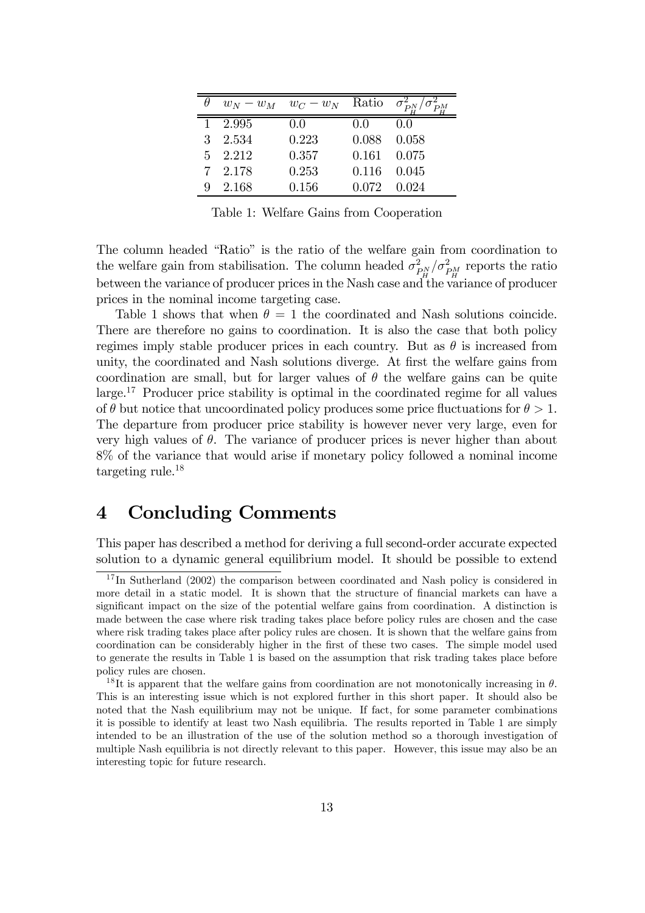|   |         | $w_N - w_M$ $w_C - w_N$ Ratio $\sigma_{PN}^2$ |                     |       |
|---|---------|-----------------------------------------------|---------------------|-------|
|   | 2.995   | 0.0                                           | 00                  | 00    |
| 3 | 2.534   | 0.223                                         | 0.088               | 0.058 |
|   | 5 2.212 | 0.357                                         | $0.161$ $0.075$     |       |
|   | 7 2.178 | 0.253                                         | 0.116               | 0.045 |
|   | 2.168   | 0.156                                         | $0.072 \quad 0.024$ |       |

Table 1: Welfare Gains from Cooperation

The column headed "Ratio" is the ratio of the welfare gain from coordination to the welfare gain from stabilisation. The column headed  $\sigma_{P_M}^2/\sigma_{P_M}^2$  reports the ratio between the variance of producer prices in the Nash case and the variance of producer prices in the nominal income targeting case.

Table 1 shows that when  $\theta = 1$  the coordinated and Nash solutions coincide. There are therefore no gains to coordination. It is also the case that both policy regimes imply stable producer prices in each country. But as  $\theta$  is increased from unity, the coordinated and Nash solutions diverge. At first the welfare gains from coordination are small, but for larger values of  $\theta$  the welfare gains can be quite large.17 Producer price stability is optimal in the coordinated regime for all values of  $\theta$  but notice that uncoordinated policy produces some price fluctuations for  $\theta > 1$ . The departure from producer price stability is however never very large, even for very high values of  $\theta$ . The variance of producer prices is never higher than about 8% of the variance that would arise if monetary policy followed a nominal income targeting rule.18

### 4 Concluding Comments

This paper has described a method for deriving a full second-order accurate expected solution to a dynamic general equilibrium model. It should be possible to extend

 $17$  In Sutherland (2002) the comparison between coordinated and Nash policy is considered in more detail in a static model. It is shown that the structure of financial markets can have a significant impact on the size of the potential welfare gains from coordination. A distinction is made between the case where risk trading takes place before policy rules are chosen and the case where risk trading takes place after policy rules are chosen. It is shown that the welfare gains from coordination can be considerably higher in the first of these two cases. The simple model used to generate the results in Table 1 is based on the assumption that risk trading takes place before policy rules are chosen.

<sup>&</sup>lt;sup>18</sup>It is apparent that the welfare gains from coordination are not monotonically increasing in  $\theta$ . This is an interesting issue which is not explored further in this short paper. It should also be noted that the Nash equilibrium may not be unique. If fact, for some parameter combinations it is possible to identify at least two Nash equilibria. The results reported in Table 1 are simply intended to be an illustration of the use of the solution method so a thorough investigation of multiple Nash equilibria is not directly relevant to this paper. However, this issue may also be an interesting topic for future research.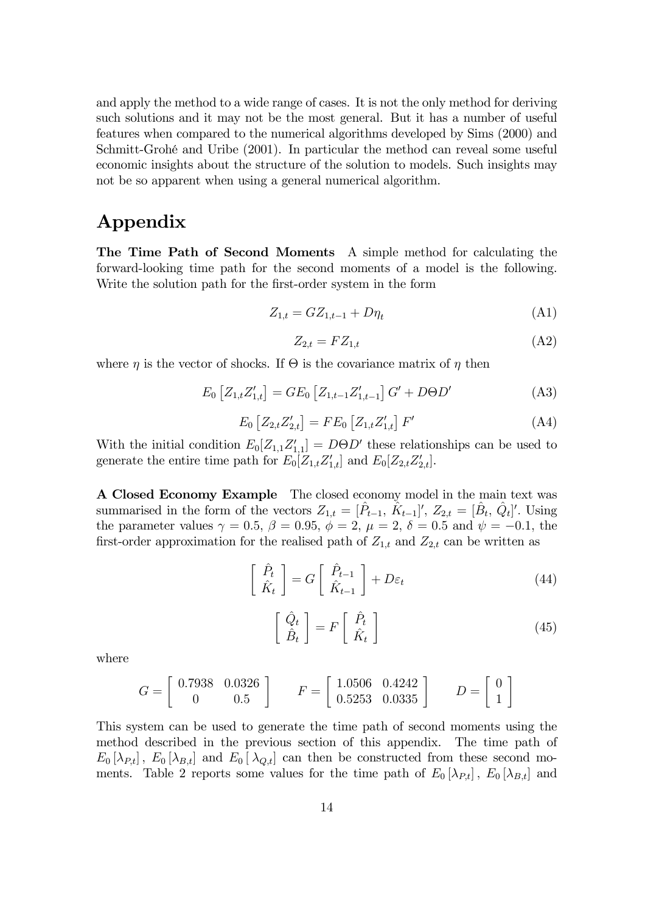and apply the method to a wide range of cases. It is not the only method for deriving such solutions and it may not be the most general. But it has a number of useful features when compared to the numerical algorithms developed by Sims (2000) and Schmitt-Grohé and Uribe (2001). In particular the method can reveal some useful economic insights about the structure of the solution to models. Such insights may not be so apparent when using a general numerical algorithm.

# Appendix

The Time Path of Second Moments A simple method for calculating the forward-looking time path for the second moments of a model is the following. Write the solution path for the first-order system in the form

$$
Z_{1,t} = GZ_{1,t-1} + D\eta_t
$$
 (A1)

$$
Z_{2,t} = FZ_{1,t} \tag{A2}
$$

where  $\eta$  is the vector of shocks. If  $\Theta$  is the covariance matrix of  $\eta$  then

$$
E_0 \left[ Z_{1,t} Z'_{1,t} \right] = GE_0 \left[ Z_{1,t-1} Z'_{1,t-1} \right] G' + D\Theta D' \tag{A3}
$$

$$
E_0 \left[ Z_{2,t} Z'_{2,t} \right] = F E_0 \left[ Z_{1,t} Z'_{1,t} \right] F' \tag{A4}
$$

With the initial condition  $E_0[Z_{1,1}Z_{1,1}'] = D\Theta D'$  these relationships can be used to generate the entire time path for  $E_0[Z_{1,t}Z'_{1,t}]$  and  $E_0[Z_{2,t}Z'_{2,t}]$ .

A Closed Economy Example The closed economy model in the main text was summarised in the form of the vectors  $Z_{1,t} = [\hat{P}_{t-1}, \hat{K}_{t-1}]'$ ,  $Z_{2,t} = [\hat{B}_t, \hat{Q}_t]'$ . Using the parameter values  $\gamma = 0.5, \, \beta = 0.95, \, \phi = 2, \, \mu = 2, \, \delta = 0.5$  and  $\psi = -0.1$ , the first-order approximation for the realised path of  $Z_{1,t}$  and  $Z_{2,t}$  can be written as

$$
\begin{bmatrix} \hat{P}_t \\ \hat{K}_t \end{bmatrix} = G \begin{bmatrix} \hat{P}_{t-1} \\ \hat{K}_{t-1} \end{bmatrix} + D\varepsilon_t
$$
 (44)

$$
\begin{bmatrix} \hat{Q}_t \\ \hat{B}_t \end{bmatrix} = F \begin{bmatrix} \hat{P}_t \\ \hat{K}_t \end{bmatrix}
$$
 (45)

where

$$
G = \begin{bmatrix} 0.7938 & 0.0326 \\ 0 & 0.5 \end{bmatrix} \qquad F = \begin{bmatrix} 1.0506 & 0.4242 \\ 0.5253 & 0.0335 \end{bmatrix} \qquad D = \begin{bmatrix} 0 \\ 1 \end{bmatrix}
$$

This system can be used to generate the time path of second moments using the method described in the previous section of this appendix. The time path of  $E_0[\lambda_{P,t}], E_0[\lambda_{B,t}]$  and  $E_0[\lambda_{Q,t}]$  can then be constructed from these second moments. Table 2 reports some values for the time path of  $E_0[\lambda_{P,t}]$ ,  $E_0[\lambda_{B,t}]$  and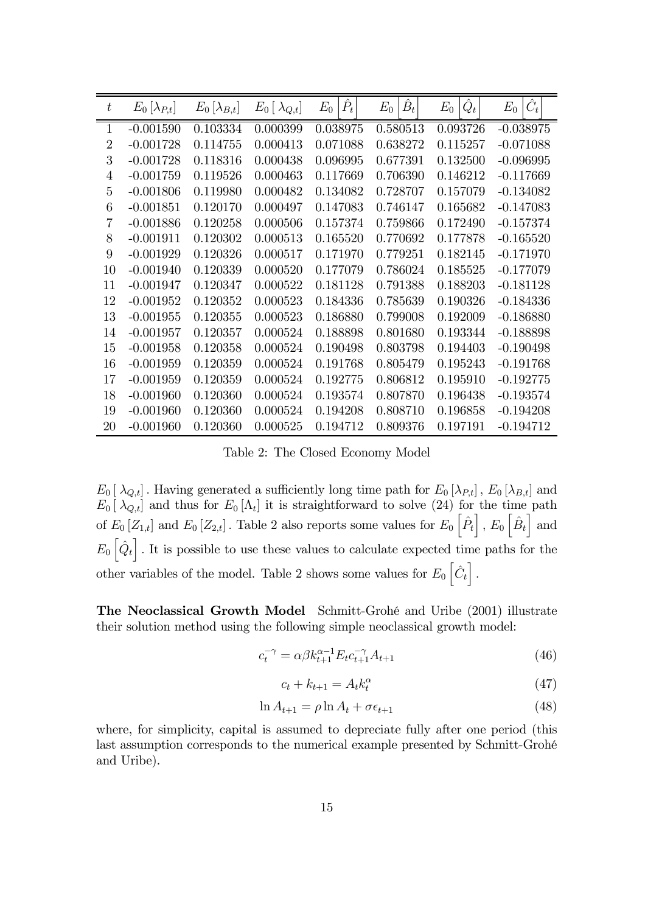| $\boldsymbol{t}$ | $E_0  \lambda_{P,t} $ | $E_0\left[\lambda_{B,t}\right]$ | $E_0\left[\ \lambda_{Q,t}\right]$ | $\hat{P}_t$<br>$E_0$ | $\hat{B}_t$<br>$E_0$ | $\hat{Q}_t$<br>$E_0$ | $\hat{C}_t$<br>$E_0$ |
|------------------|-----------------------|---------------------------------|-----------------------------------|----------------------|----------------------|----------------------|----------------------|
| $\mathbf{1}$     | $-0.001590$           | 0.103334                        | 0.000399                          | 0.038975             | 0.580513             | 0.093726             | $-0.038975$          |
| $\overline{2}$   | $-0.001728$           | 0.114755                        | 0.000413                          | 0.071088             | 0.638272             | 0.115257             | $-0.071088$          |
| 3                | $-0.001728$           | 0.118316                        | 0.000438                          | 0.096995             | 0.677391             | 0.132500             | $-0.096995$          |
| $\overline{4}$   | $-0.001759$           | 0.119526                        | 0.000463                          | 0.117669             | 0.706390             | 0.146212             | $-0.117669$          |
| $\overline{5}$   | $-0.001806$           | 0.119980                        | 0.000482                          | 0.134082             | 0.728707             | 0.157079             | $-0.134082$          |
| 6                | $-0.001851$           | 0.120170                        | 0.000497                          | 0.147083             | 0.746147             | 0.165682             | $-0.147083$          |
| 7                | $-0.001886$           | 0.120258                        | 0.000506                          | 0.157374             | 0.759866             | 0.172490             | $-0.157374$          |
| 8                | $-0.001911$           | 0.120302                        | 0.000513                          | 0.165520             | 0.770692             | 0.177878             | $-0.165520$          |
| 9                | $-0.001929$           | 0.120326                        | 0.000517                          | 0.171970             | 0.779251             | 0.182145             | $-0.171970$          |
| 10               | $-0.001940$           | 0.120339                        | 0.000520                          | 0.177079             | 0.786024             | 0.185525             | $-0.177079$          |
| 11               | $-0.001947$           | 0.120347                        | 0.000522                          | 0.181128             | 0.791388             | 0.188203             | $-0.181128$          |
| 12               | $-0.001952$           | 0.120352                        | 0.000523                          | 0.184336             | 0.785639             | 0.190326             | $-0.184336$          |
| 13               | $-0.001955$           | 0.120355                        | 0.000523                          | 0.186880             | 0.799008             | 0.192009             | $-0.186880$          |
| 14               | $-0.001957$           | 0.120357                        | 0.000524                          | 0.188898             | 0.801680             | 0.193344             | $-0.188898$          |
| 15               | $-0.001958$           | 0.120358                        | 0.000524                          | 0.190498             | 0.803798             | 0.194403             | $-0.190498$          |
| 16               | $-0.001959$           | 0.120359                        | 0.000524                          | 0.191768             | 0.805479             | 0.195243             | $-0.191768$          |
| 17               | $-0.001959$           | 0.120359                        | 0.000524                          | 0.192775             | 0.806812             | 0.195910             | $-0.192775$          |
| 18               | $-0.001960$           | 0.120360                        | 0.000524                          | 0.193574             | 0.807870             | 0.196438             | $-0.193574$          |
| 19               | $-0.001960$           | 0.120360                        | 0.000524                          | 0.194208             | 0.808710             | 0.196858             | $-0.194208$          |
| 20               | $-0.001960$           | 0.120360                        | 0.000525                          | 0.194712             | 0.809376             | 0.197191             | $-0.194712$          |

Table 2: The Closed Economy Model

 $E_0\left[\lambda_{Q,t}\right]$ . Having generated a sufficiently long time path for  $E_0\left[\lambda_{P,t}\right]$ ,  $E_0\left[\lambda_{B,t}\right]$  and  $E_0\left[\lambda_{Q,t}\right]$  and thus for  $E_0\left[\Lambda_t\right]$  it is straightforward to solve (24) for the time path of  $E_0[Z_{1,t}]$  and  $E_0[Z_{2,t}]$ . Table 2 also reports some values for  $E_0\left[\hat{P}_t\right]$ ,  $E_0\left[\hat{B}_t\right]$  and  $E_0\left[\hat{Q}_t\right]$ . It is possible to use these values to calculate expected time paths for the other variables of the model. Table 2 shows some values for  $E_0\left[\hat{C}_t\right]$ .

The Neoclassical Growth Model Schmitt-Grohé and Uribe (2001) illustrate their solution method using the following simple neoclassical growth model:

$$
c_t^{-\gamma} = \alpha \beta k_{t+1}^{\alpha - 1} E_t c_{t+1}^{-\gamma} A_{t+1}
$$
\n(46)

$$
c_t + k_{t+1} = A_t k_t^{\alpha} \tag{47}
$$

$$
\ln A_{t+1} = \rho \ln A_t + \sigma \epsilon_{t+1} \tag{48}
$$

where, for simplicity, capital is assumed to depreciate fully after one period (this last assumption corresponds to the numerical example presented by Schmitt-Grohé and Uribe).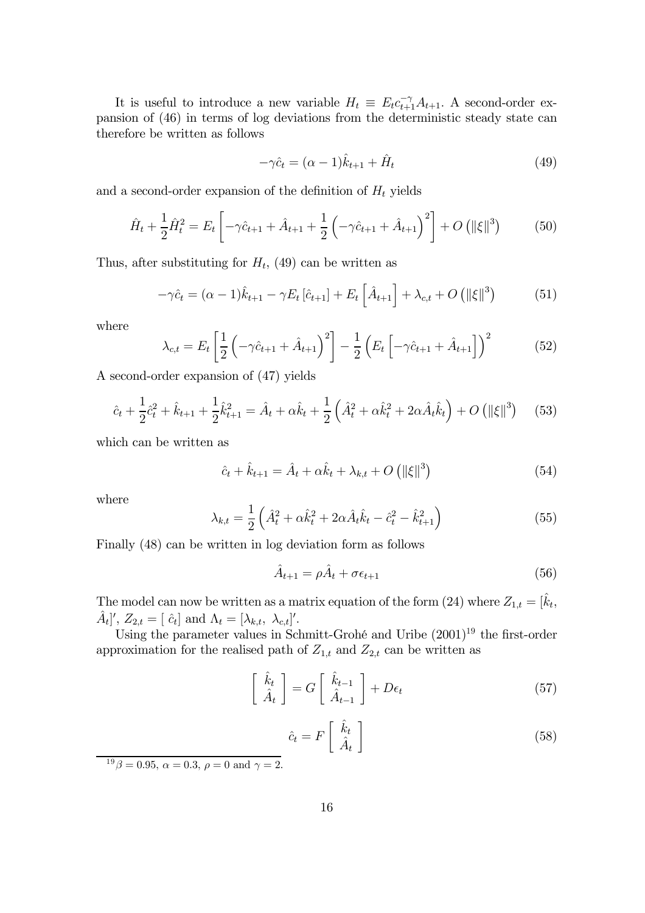It is useful to introduce a new variable  $H_t \equiv E_t c_{t+1}^{-\gamma} A_{t+1}$ . A second-order expansion of (46) in terms of log deviations from the deterministic steady state can therefore be written as follows

$$
-\gamma \hat{c}_t = (\alpha - 1)\hat{k}_{t+1} + \hat{H}_t \tag{49}
$$

and a second-order expansion of the definition of  $H_t$  yields

$$
\hat{H}_t + \frac{1}{2}\hat{H}_t^2 = E_t \left[ -\gamma \hat{c}_{t+1} + \hat{A}_{t+1} + \frac{1}{2} \left( -\gamma \hat{c}_{t+1} + \hat{A}_{t+1} \right)^2 \right] + O\left( \|\xi\|^3 \right) \tag{50}
$$

Thus, after substituting for  $H_t$ , (49) can be written as

$$
-\gamma \hat{c}_t = (\alpha - 1)\hat{k}_{t+1} - \gamma E_t [\hat{c}_{t+1}] + E_t [\hat{A}_{t+1}] + \lambda_{c,t} + O(|\xi|^{3})
$$
(51)

where

$$
\lambda_{c,t} = E_t \left[ \frac{1}{2} \left( -\gamma \hat{c}_{t+1} + \hat{A}_{t+1} \right)^2 \right] - \frac{1}{2} \left( E_t \left[ -\gamma \hat{c}_{t+1} + \hat{A}_{t+1} \right] \right)^2 \tag{52}
$$

A second-order expansion of (47) yields

$$
\hat{c}_t + \frac{1}{2}\hat{c}_t^2 + \hat{k}_{t+1} + \frac{1}{2}\hat{k}_{t+1}^2 = \hat{A}_t + \alpha\hat{k}_t + \frac{1}{2}\left(\hat{A}_t^2 + \alpha\hat{k}_t^2 + 2\alpha\hat{A}_t\hat{k}_t\right) + O\left(\|\xi\|^3\right) \tag{53}
$$

which can be written as

$$
\hat{c}_t + \hat{k}_{t+1} = \hat{A}_t + \alpha \hat{k}_t + \lambda_{k,t} + O\left(\|\xi\|^3\right)
$$
 (54)

where

$$
\lambda_{k,t} = \frac{1}{2} \left( \hat{A}_t^2 + \alpha \hat{k}_t^2 + 2\alpha \hat{A}_t \hat{k}_t - \hat{c}_t^2 - \hat{k}_{t+1}^2 \right)
$$
(55)

Finally (48) can be written in log deviation form as follows

$$
\hat{A}_{t+1} = \rho \hat{A}_t + \sigma \epsilon_{t+1} \tag{56}
$$

The model can now be written as a matrix equation of the form (24) where  $Z_{1,t} = [\hat{k}_t,$  $[\hat{A}_t]'$ ,  $Z_{2,t} = [\hat{c}_t]$  and  $\Lambda_t = [\lambda_{k,t}, \lambda_{c,t}]'.$ 

Using the parameter values in Schmitt-Grohé and Uribe  $(2001)^{19}$  the first-order approximation for the realised path of  $Z_{1,t}$  and  $Z_{2,t}$  can be written as

$$
\begin{bmatrix} \hat{k}_t \\ \hat{A}_t \end{bmatrix} = G \begin{bmatrix} \hat{k}_{t-1} \\ \hat{A}_{t-1} \end{bmatrix} + D\epsilon_t
$$
 (57)

$$
\hat{c}_t = F\left[\begin{array}{c} \hat{k}_t \\ \hat{A}_t \end{array}\right] \tag{58}
$$

 $1^9\beta = 0.95, \ \alpha = 0.3, \ \rho = 0 \text{ and } \gamma = 2.$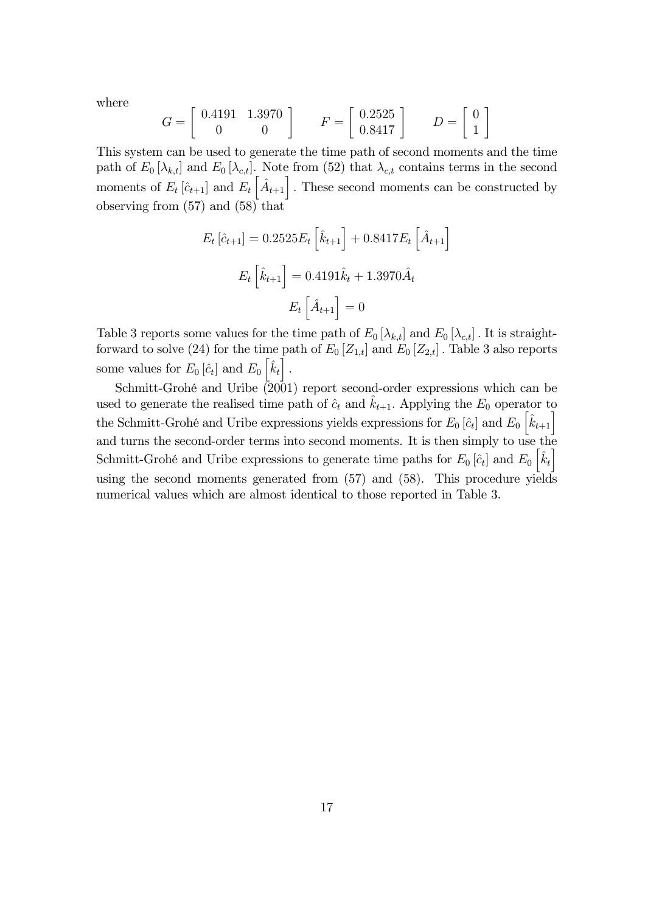where

$$
G = \left[ \begin{array}{cc} 0.4191 & 1.3970 \\ 0 & 0 \end{array} \right] \qquad F = \left[ \begin{array}{c} 0.2525 \\ 0.8417 \end{array} \right] \qquad D = \left[ \begin{array}{c} 0 \\ 1 \end{array} \right]
$$

This system can be used to generate the time path of second moments and the time path of  $E_0 [\lambda_{k,t}]$  and  $E_0 [\lambda_{c,t}]$ . Note from (52) that  $\lambda_{c,t}$  contains terms in the second moments of  $E_t\left[\hat{c}_{t+1}\right]$  and  $E_t\left[\hat{A}_{t+1}\right]$ . These second moments can be constructed by observing from (57) and (58) that

$$
E_t\left[\hat{c}_{t+1}\right] = 0.2525 E_t \left[\hat{k}_{t+1}\right] + 0.8417 E_t \left[\hat{A}_{t+1}\right]
$$

$$
E_t \left[\hat{k}_{t+1}\right] = 0.4191 \hat{k}_t + 1.3970 \hat{A}_t
$$

$$
E_t \left[\hat{A}_{t+1}\right] = 0
$$

Table 3 reports some values for the time path of  $E_0[\lambda_{k,t}]$  and  $E_0[\lambda_{c,t}]$ . It is straightforward to solve (24) for the time path of  $E_0[Z_{1,t}]$  and  $E_0[Z_{2,t}]$ . Table 3 also reports some values for  $E_0 \left[ \hat{c}_t \right]$  and  $E_0 \left[ \hat{k}_t \right]$ .

Schmitt-Grohé and Uribe  $(2001)$  report second-order expressions which can be used to generate the realised time path of  $\hat{c}_t$  and  $\hat{k}_{t+1}$ . Applying the  $E_0$  operator to the Schmitt-Grohé and Uribe expressions yields expressions for  $E_0[\hat{c}_t]$  and  $E_0[\hat{k}_{t+1}]$ and turns the second-order terms into second moments. It is then simply to use the Schmitt-Grohé and Uribe expressions to generate time paths for  $E_0 \left[ \hat{c}_t \right]$  and  $E_0 \left[ \hat{k}_t \right]$ using the second moments generated from (57) and (58). This procedure yields numerical values which are almost identical to those reported in Table 3.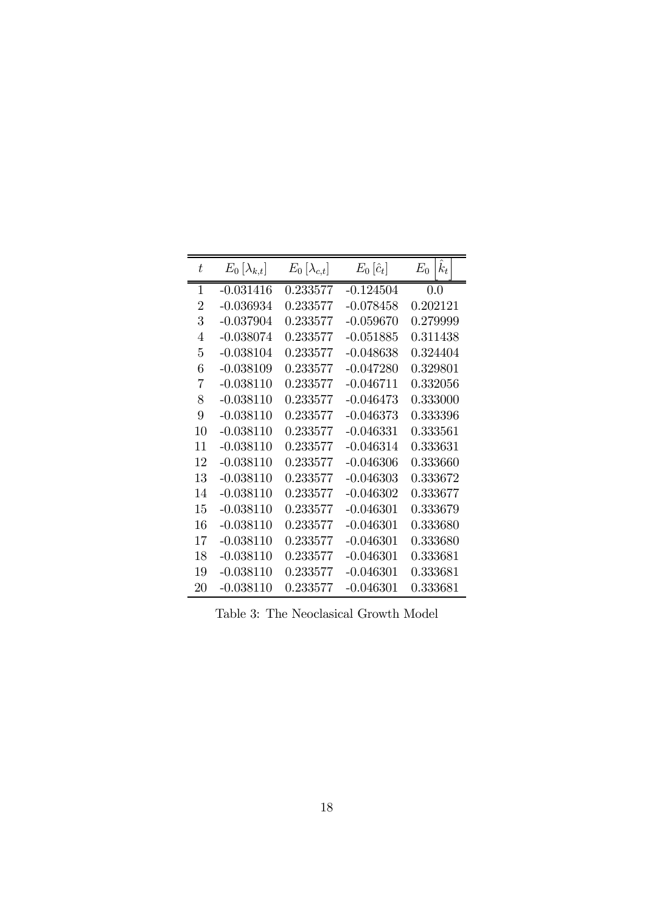| $k_t$<br>$E_0$<br>$E_0\left[\hat{c}_t\right]$<br>t<br>$E_0  \lambda_{k,t} $<br>$E_0  \lambda_{c,t} $<br>$\mathbf 1$<br>$-0.031416$<br>0.233577<br>$-0.124504$<br>0.0<br>$\overline{2}$<br>$-0.036934$<br>$-0.078458$<br>0.202121<br>0.233577<br>3<br>$-0.037904$<br>0.233577<br>$-0.059670$<br>0.279999<br>$-0.038074$<br>$\overline{4}$<br>0.233577<br>$-0.051885$<br>0.311438<br>$\overline{5}$<br>$-0.038104$<br>$-0.048638$<br>0.233577<br>0.324404<br>6<br>$-0.038109$<br>$-0.047280$<br>0.329801<br>0.233577<br>7<br>$-0.038110$<br>$-0.046711$<br>0.332056<br>0.233577<br>8<br>$-0.038110$<br>$-0.046473$<br>0.333000<br>0.233577<br>9<br>$-0.038110$<br>0.233577<br>$-0.046373$<br>0.333396<br>$-0.038110$<br>10<br>0.233577<br>$-0.046331$<br>0.333561<br>$-0.038110$<br>11<br>0.233577<br>$-0.046314$<br>0.333631<br>12<br>$-0.038110$<br>$-0.046306$<br>0.333660<br>0.233577<br>13<br>$-0.038110$<br>0.233577<br>$-0.046303$<br>0.333672<br>$-0.038110$<br>$-0.046302$<br>14<br>0.233577<br>0.333677<br>15<br>$-0.038110$<br>0.233577<br>$-0.046301$<br>0.333679<br>16<br>$-0.038110$<br>0.233577<br>$-0.046301$<br>0.333680<br>17<br>$-0.038110$<br>0.233577<br>$-0.046301$<br>0.333680<br>$-0.038110$<br>0.333681<br>18<br>0.233577<br>$-0.046301$<br>19<br>$-0.038110$<br>$-0.046301$<br>0.333681<br>0.233577<br>$-0.038110$<br>20<br>0.233577<br>$-0.046301$<br>0.333681 |  |  |  |
|-----------------------------------------------------------------------------------------------------------------------------------------------------------------------------------------------------------------------------------------------------------------------------------------------------------------------------------------------------------------------------------------------------------------------------------------------------------------------------------------------------------------------------------------------------------------------------------------------------------------------------------------------------------------------------------------------------------------------------------------------------------------------------------------------------------------------------------------------------------------------------------------------------------------------------------------------------------------------------------------------------------------------------------------------------------------------------------------------------------------------------------------------------------------------------------------------------------------------------------------------------------------------------------------------------------------------------------------------------------------------------------------|--|--|--|
|                                                                                                                                                                                                                                                                                                                                                                                                                                                                                                                                                                                                                                                                                                                                                                                                                                                                                                                                                                                                                                                                                                                                                                                                                                                                                                                                                                                         |  |  |  |
|                                                                                                                                                                                                                                                                                                                                                                                                                                                                                                                                                                                                                                                                                                                                                                                                                                                                                                                                                                                                                                                                                                                                                                                                                                                                                                                                                                                         |  |  |  |
|                                                                                                                                                                                                                                                                                                                                                                                                                                                                                                                                                                                                                                                                                                                                                                                                                                                                                                                                                                                                                                                                                                                                                                                                                                                                                                                                                                                         |  |  |  |
|                                                                                                                                                                                                                                                                                                                                                                                                                                                                                                                                                                                                                                                                                                                                                                                                                                                                                                                                                                                                                                                                                                                                                                                                                                                                                                                                                                                         |  |  |  |
|                                                                                                                                                                                                                                                                                                                                                                                                                                                                                                                                                                                                                                                                                                                                                                                                                                                                                                                                                                                                                                                                                                                                                                                                                                                                                                                                                                                         |  |  |  |
|                                                                                                                                                                                                                                                                                                                                                                                                                                                                                                                                                                                                                                                                                                                                                                                                                                                                                                                                                                                                                                                                                                                                                                                                                                                                                                                                                                                         |  |  |  |
|                                                                                                                                                                                                                                                                                                                                                                                                                                                                                                                                                                                                                                                                                                                                                                                                                                                                                                                                                                                                                                                                                                                                                                                                                                                                                                                                                                                         |  |  |  |
|                                                                                                                                                                                                                                                                                                                                                                                                                                                                                                                                                                                                                                                                                                                                                                                                                                                                                                                                                                                                                                                                                                                                                                                                                                                                                                                                                                                         |  |  |  |
|                                                                                                                                                                                                                                                                                                                                                                                                                                                                                                                                                                                                                                                                                                                                                                                                                                                                                                                                                                                                                                                                                                                                                                                                                                                                                                                                                                                         |  |  |  |
|                                                                                                                                                                                                                                                                                                                                                                                                                                                                                                                                                                                                                                                                                                                                                                                                                                                                                                                                                                                                                                                                                                                                                                                                                                                                                                                                                                                         |  |  |  |
|                                                                                                                                                                                                                                                                                                                                                                                                                                                                                                                                                                                                                                                                                                                                                                                                                                                                                                                                                                                                                                                                                                                                                                                                                                                                                                                                                                                         |  |  |  |
|                                                                                                                                                                                                                                                                                                                                                                                                                                                                                                                                                                                                                                                                                                                                                                                                                                                                                                                                                                                                                                                                                                                                                                                                                                                                                                                                                                                         |  |  |  |
|                                                                                                                                                                                                                                                                                                                                                                                                                                                                                                                                                                                                                                                                                                                                                                                                                                                                                                                                                                                                                                                                                                                                                                                                                                                                                                                                                                                         |  |  |  |
|                                                                                                                                                                                                                                                                                                                                                                                                                                                                                                                                                                                                                                                                                                                                                                                                                                                                                                                                                                                                                                                                                                                                                                                                                                                                                                                                                                                         |  |  |  |
|                                                                                                                                                                                                                                                                                                                                                                                                                                                                                                                                                                                                                                                                                                                                                                                                                                                                                                                                                                                                                                                                                                                                                                                                                                                                                                                                                                                         |  |  |  |
|                                                                                                                                                                                                                                                                                                                                                                                                                                                                                                                                                                                                                                                                                                                                                                                                                                                                                                                                                                                                                                                                                                                                                                                                                                                                                                                                                                                         |  |  |  |
|                                                                                                                                                                                                                                                                                                                                                                                                                                                                                                                                                                                                                                                                                                                                                                                                                                                                                                                                                                                                                                                                                                                                                                                                                                                                                                                                                                                         |  |  |  |
|                                                                                                                                                                                                                                                                                                                                                                                                                                                                                                                                                                                                                                                                                                                                                                                                                                                                                                                                                                                                                                                                                                                                                                                                                                                                                                                                                                                         |  |  |  |
|                                                                                                                                                                                                                                                                                                                                                                                                                                                                                                                                                                                                                                                                                                                                                                                                                                                                                                                                                                                                                                                                                                                                                                                                                                                                                                                                                                                         |  |  |  |
|                                                                                                                                                                                                                                                                                                                                                                                                                                                                                                                                                                                                                                                                                                                                                                                                                                                                                                                                                                                                                                                                                                                                                                                                                                                                                                                                                                                         |  |  |  |
|                                                                                                                                                                                                                                                                                                                                                                                                                                                                                                                                                                                                                                                                                                                                                                                                                                                                                                                                                                                                                                                                                                                                                                                                                                                                                                                                                                                         |  |  |  |

Table 3: The Neoclasical Growth Model